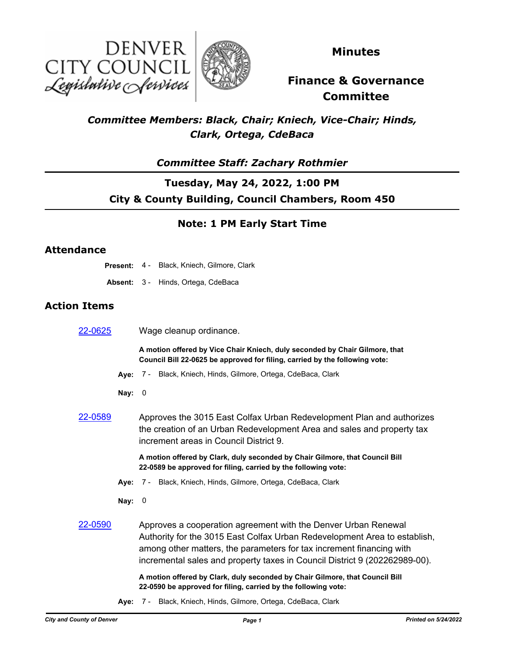



**Minutes**

# **Finance & Governance Committee**

## *Committee Members: Black, Chair; Kniech, Vice-Chair; Hinds, Clark, Ortega, CdeBaca*

### *Committee Staff: Zachary Rothmier*

## **Tuesday, May 24, 2022, 1:00 PM City & County Building, Council Chambers, Room 450**

### **Note: 1 PM Early Start Time**

### **Attendance**

|                     | <b>Present: 4 - Black, Kniech, Gilmore, Clark</b>                                                                                                                                                                                                                                                 |
|---------------------|---------------------------------------------------------------------------------------------------------------------------------------------------------------------------------------------------------------------------------------------------------------------------------------------------|
|                     | Absent: 3 - Hinds, Ortega, CdeBaca                                                                                                                                                                                                                                                                |
| <b>Action Items</b> |                                                                                                                                                                                                                                                                                                   |
| 22-0625             | Wage cleanup ordinance.                                                                                                                                                                                                                                                                           |
|                     | A motion offered by Vice Chair Kniech, duly seconded by Chair Gilmore, that<br>Council Bill 22-0625 be approved for filing, carried by the following vote:                                                                                                                                        |
|                     | Aye: 7 - Black, Kniech, Hinds, Gilmore, Ortega, CdeBaca, Clark                                                                                                                                                                                                                                    |
|                     | Nay: $0$                                                                                                                                                                                                                                                                                          |
| 22-0589             | Approves the 3015 East Colfax Urban Redevelopment Plan and authorizes<br>the creation of an Urban Redevelopment Area and sales and property tax<br>increment areas in Council District 9.                                                                                                         |
|                     | A motion offered by Clark, duly seconded by Chair Gilmore, that Council Bill<br>22-0589 be approved for filing, carried by the following vote:                                                                                                                                                    |
|                     | Aye: 7 - Black, Kniech, Hinds, Gilmore, Ortega, CdeBaca, Clark                                                                                                                                                                                                                                    |
|                     | Nay: $0$                                                                                                                                                                                                                                                                                          |
| 22-0590             | Approves a cooperation agreement with the Denver Urban Renewal<br>Authority for the 3015 East Colfax Urban Redevelopment Area to establish,<br>among other matters, the parameters for tax increment financing with<br>incremental sales and property taxes in Council District 9 (202262989-00). |
|                     | A motion offered by Clark, duly seconded by Chair Gilmore, that Council Bill<br>22-0590 be approved for filing, carried by the following vote:                                                                                                                                                    |

**Aye:** 7 - Black, Kniech, Hinds, Gilmore, Ortega, CdeBaca, Clark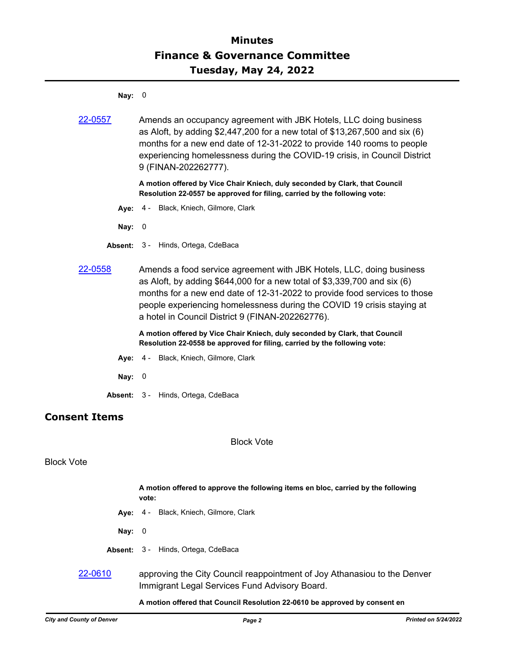## **Minutes Finance & Governance Committee Tuesday, May 24, 2022**

**Nay:** 0

| 22-0557              | Amends an occupancy agreement with JBK Hotels, LLC doing business<br>as Aloft, by adding $$2,447,200$ for a new total of $$13,267,500$ and six (6)<br>months for a new end date of 12-31-2022 to provide 140 rooms to people<br>experiencing homelessness during the COVID-19 crisis, in Council District<br>9 (FINAN-202262777).                           |
|----------------------|-------------------------------------------------------------------------------------------------------------------------------------------------------------------------------------------------------------------------------------------------------------------------------------------------------------------------------------------------------------|
|                      | A motion offered by Vice Chair Kniech, duly seconded by Clark, that Council<br>Resolution 22-0557 be approved for filing, carried by the following vote:                                                                                                                                                                                                    |
|                      | Aye: 4 - Black, Kniech, Gilmore, Clark                                                                                                                                                                                                                                                                                                                      |
| Nay: $0$             |                                                                                                                                                                                                                                                                                                                                                             |
|                      | <b>Absent: 3 - Hinds, Ortega, CdeBaca</b>                                                                                                                                                                                                                                                                                                                   |
| 22-0558              | Amends a food service agreement with JBK Hotels, LLC, doing business<br>as Aloft, by adding \$644,000 for a new total of \$3,339,700 and six (6)<br>months for a new end date of 12-31-2022 to provide food services to those<br>people experiencing homelessness during the COVID 19 crisis staying at<br>a hotel in Council District 9 (FINAN-202262776). |
|                      | A motion offered by Vice Chair Kniech, duly seconded by Clark, that Council<br>Resolution 22-0558 be approved for filing, carried by the following vote:                                                                                                                                                                                                    |
|                      | Aye: 4 - Black, Kniech, Gilmore, Clark                                                                                                                                                                                                                                                                                                                      |
| Nay: $0$             |                                                                                                                                                                                                                                                                                                                                                             |
|                      | Absent: 3 - Hinds, Ortega, CdeBaca                                                                                                                                                                                                                                                                                                                          |
| <b>Consent Items</b> |                                                                                                                                                                                                                                                                                                                                                             |
|                      | <b>Block Vote</b>                                                                                                                                                                                                                                                                                                                                           |
| <b>Block Vote</b>    |                                                                                                                                                                                                                                                                                                                                                             |
|                      | A motion offered to approve the following items en bloc, carried by the following<br>vote:                                                                                                                                                                                                                                                                  |
|                      | Aye: 4 - Black, Kniech, Gilmore, Clark                                                                                                                                                                                                                                                                                                                      |

- **Nay:** 0
- **Absent:** 3 Hinds, Ortega, CdeBaca
- [22-0610](http://denver.legistar.com/gateway.aspx?m=l&id=/matter.aspx?key=21677) approving the City Council reappointment of Joy Athanasiou to the Denver Immigrant Legal Services Fund Advisory Board.

### **A motion offered that Council Resolution 22-0610 be approved by consent en**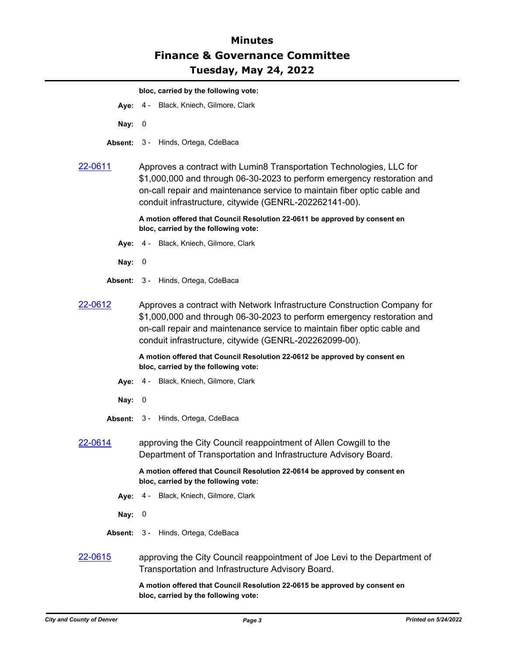## **Minutes Finance & Governance Committee Tuesday, May 24, 2022**

#### **bloc, carried by the following vote:**

- **Aye:** 4 Black, Kniech, Gilmore, Clark
- **Nay:** 0
- **Absent:** 3 Hinds, Ortega, CdeBaca

### [22-0611](http://denver.legistar.com/gateway.aspx?m=l&id=/matter.aspx?key=21678) Approves a contract with Lumin8 Transportation Technologies, LLC for \$1,000,000 and through 06-30-2023 to perform emergency restoration and on-call repair and maintenance service to maintain fiber optic cable and conduit infrastructure, citywide (GENRL-202262141-00).

**A motion offered that Council Resolution 22-0611 be approved by consent en bloc, carried by the following vote:**

- **Aye:** 4 Black, Kniech, Gilmore, Clark
- **Nay:** 0
- **Absent:** 3 Hinds, Ortega, CdeBaca
- [22-0612](http://denver.legistar.com/gateway.aspx?m=l&id=/matter.aspx?key=21679) Approves a contract with Network Infrastructure Construction Company for \$1,000,000 and through 06-30-2023 to perform emergency restoration and on-call repair and maintenance service to maintain fiber optic cable and conduit infrastructure, citywide (GENRL-202262099-00).

**A motion offered that Council Resolution 22-0612 be approved by consent en bloc, carried by the following vote:**

- **Aye:** 4 Black, Kniech, Gilmore, Clark
- **Nay:** 0
- **Absent:** 3 Hinds, Ortega, CdeBaca
- [22-0614](http://denver.legistar.com/gateway.aspx?m=l&id=/matter.aspx?key=21681) approving the City Council reappointment of Allen Cowgill to the Department of Transportation and Infrastructure Advisory Board.

**A motion offered that Council Resolution 22-0614 be approved by consent en bloc, carried by the following vote:**

- **Aye:** 4 Black, Kniech, Gilmore, Clark
- **Nay:** 0
- **Absent:** 3 Hinds, Ortega, CdeBaca
- [22-0615](http://denver.legistar.com/gateway.aspx?m=l&id=/matter.aspx?key=21682) approving the City Council reappointment of Joe Levi to the Department of Transportation and Infrastructure Advisory Board.

**A motion offered that Council Resolution 22-0615 be approved by consent en bloc, carried by the following vote:**